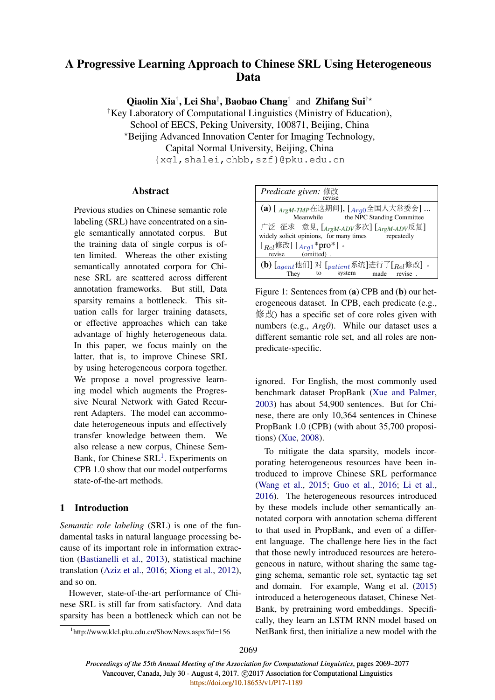# A Progressive Learning Approach to Chinese SRL Using Heterogeneous Data

Qiaolin Xia<sup>†</sup>, Lei Sha<sup>†</sup>, Baobao Chang<sup>†</sup> and Zhifang Sui<sup>†\*</sup>

†Key Laboratory of Computational Linguistics (Ministry of Education),

School of EECS, Peking University, 100871, Beijing, China

?Beijing Advanced Innovation Center for Imaging Technology,

Capital Normal University, Beijing, China

{xql,shalei,chbb,szf}@pku.edu.cn

# Abstract

Previous studies on Chinese semantic role labeling (SRL) have concentrated on a single semantically annotated corpus. But the training data of single corpus is often limited. Whereas the other existing semantically annotated corpora for Chinese SRL are scattered across different annotation frameworks. But still, Data sparsity remains a bottleneck. This situation calls for larger training datasets, or effective approaches which can take advantage of highly heterogeneous data. In this paper, we focus mainly on the latter, that is, to improve Chinese SRL by using heterogeneous corpora together. We propose a novel progressive learning model which augments the Progressive Neural Network with Gated Recurrent Adapters. The model can accommodate heterogeneous inputs and effectively transfer knowledge between them. We also release a new corpus, Chinese Sem-Bank, for Chinese SRL<sup>1</sup>. Experiments on CPB 1.0 show that our model outperforms state-of-the-art methods.

# 1 Introduction

*Semantic role labeling* (SRL) is one of the fundamental tasks in natural language processing because of its important role in information extraction (Bastianelli et al., 2013), statistical machine translation (Aziz et al., 2016; Xiong et al., 2012), and so on.

However, state-of-the-art performance of Chinese SRL is still far from satisfactory. And data sparsity has been a bottleneck which can not be

| Predicate given: 修改<br>revise                                                                                       |  |  |
|---------------------------------------------------------------------------------------------------------------------|--|--|
| $(a)$ [ $_{ArgM\text{-}TMP}$ 在这期间], [ $_{Arg0}$ 全国人大常委会]<br>Meanwhile the NPC Standing Committee                    |  |  |
| 广泛 征求 意见, [ <sub>ArgM-ADV</sub> 多次] [ <sub>ArgM-ADV</sub> 反复]<br>widely solicit opinions, for many times repeatedly |  |  |
| [ $_{Rel}$ 修改] [ $_{Arg1}$ *pro*].<br>revise (omitted).                                                             |  |  |
|                                                                                                                     |  |  |
| (b) $[{}_{agent}$ 他们] 对 $[{}_{pattern}$ 系统]进行了 $[{}_{Rel}$ 修改] 。<br>system made revise.<br>They<br>to to            |  |  |

Figure 1: Sentences from (a) CPB and (b) our heterogeneous dataset. In CPB, each predicate (e.g., 修改) has a specific set of core roles given with numbers (e.g., *Arg0*). While our dataset uses a different semantic role set, and all roles are nonpredicate-specific.

ignored. For English, the most commonly used benchmark dataset PropBank (Xue and Palmer, 2003) has about 54,900 sentences. But for Chinese, there are only 10,364 sentences in Chinese PropBank 1.0 (CPB) (with about 35,700 propositions) (Xue, 2008).

To mitigate the data sparsity, models incorporating heterogeneous resources have been introduced to improve Chinese SRL performance (Wang et al., 2015; Guo et al., 2016; Li et al., 2016). The heterogeneous resources introduced by these models include other semantically annotated corpora with annotation schema different to that used in PropBank, and even of a different language. The challenge here lies in the fact that those newly introduced resources are heterogeneous in nature, without sharing the same tagging schema, semantic role set, syntactic tag set and domain. For example, Wang et al. (2015) introduced a heterogeneous dataset, Chinese Net-Bank, by pretraining word embeddings. Specifically, they learn an LSTM RNN model based on NetBank first, then initialize a new model with the

<sup>1</sup> http://www.klcl.pku.edu.cn/ShowNews.aspx?id=156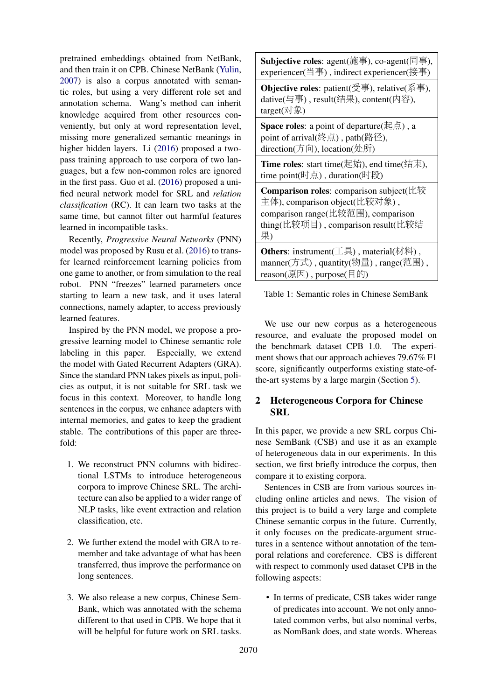pretrained embeddings obtained from NetBank, and then train it on CPB. Chinese NetBank (Yulin, 2007) is also a corpus annotated with semantic roles, but using a very different role set and annotation schema. Wang's method can inherit knowledge acquired from other resources conveniently, but only at word representation level, missing more generalized semantic meanings in higher hidden layers. Li (2016) proposed a twopass training approach to use corpora of two languages, but a few non-common roles are ignored in the first pass. Guo et al. (2016) proposed a unified neural network model for SRL and *relation classification* (RC). It can learn two tasks at the same time, but cannot filter out harmful features learned in incompatible tasks.

Recently, *Progressive Neural Networks* (PNN) model was proposed by Rusu et al. (2016) to transfer learned reinforcement learning policies from one game to another, or from simulation to the real robot. PNN "freezes" learned parameters once starting to learn a new task, and it uses lateral connections, namely adapter, to access previously learned features.

Inspired by the PNN model, we propose a progressive learning model to Chinese semantic role labeling in this paper. Especially, we extend the model with Gated Recurrent Adapters (GRA). Since the standard PNN takes pixels as input, policies as output, it is not suitable for SRL task we focus in this context. Moreover, to handle long sentences in the corpus, we enhance adapters with internal memories, and gates to keep the gradient stable. The contributions of this paper are threefold:

- 1. We reconstruct PNN columns with bidirectional LSTMs to introduce heterogeneous corpora to improve Chinese SRL. The architecture can also be applied to a wider range of NLP tasks, like event extraction and relation classification, etc.
- 2. We further extend the model with GRA to remember and take advantage of what has been transferred, thus improve the performance on long sentences.
- 3. We also release a new corpus, Chinese Sem-Bank, which was annotated with the schema different to that used in CPB. We hope that it will be helpful for future work on SRL tasks.

Subjective roles: agent(施事), co-agent(同事), experiencer(当事) , indirect experiencer(接事)

**Objective roles:** patient( $\overline{\mathcal{L}}$ 事), relative(系事), dative(与事) , result(结果), content(内容), target(对象)

**Space roles:** a point of departure(起点), a point of arrival(终点) , path(路径), direction(方向), location(处所)

**Time roles**: start time(起始), end time(结束). time point(时点) , duration(时段)

**Comparison roles:** comparison subject(比较 主体), comparison object(比较对象) , comparison range(比较范围), comparison thing(比较项目) , comparison result(比较结 果)

Others: instrument(工具), material(材料), manner(方式) , quantity(物量) , range(范围) , reason(原因) , purpose(目的)

Table 1: Semantic roles in Chinese SemBank

We use our new corpus as a heterogeneous resource, and evaluate the proposed model on the benchmark dataset CPB 1.0. The experiment shows that our approach achieves 79.67% F1 score, significantly outperforms existing state-ofthe-art systems by a large margin (Section 5).

# 2 Heterogeneous Corpora for Chinese SRL

In this paper, we provide a new SRL corpus Chinese SemBank (CSB) and use it as an example of heterogeneous data in our experiments. In this section, we first briefly introduce the corpus, then compare it to existing corpora.

Sentences in CSB are from various sources including online articles and news. The vision of this project is to build a very large and complete Chinese semantic corpus in the future. Currently, it only focuses on the predicate-argument structures in a sentence without annotation of the temporal relations and coreference. CBS is different with respect to commonly used dataset CPB in the following aspects:

• In terms of predicate, CSB takes wider range of predicates into account. We not only annotated common verbs, but also nominal verbs, as NomBank does, and state words. Whereas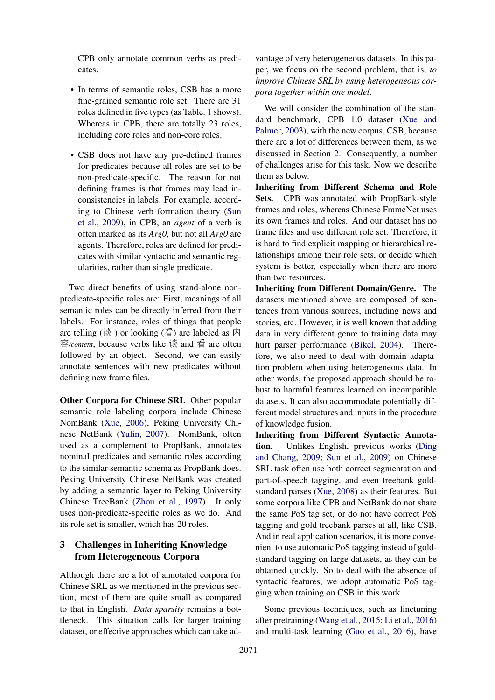CPB only annotate common verbs as predicates.

- In terms of semantic roles, CSB has a more fine-grained semantic role set. There are 31 roles defined in five types (as Table. 1 shows). Whereas in CPB, there are totally 23 roles, including core roles and non-core roles.
- CSB does not have any pre-defined frames for predicates because all roles are set to be non-predicate-specific. The reason for not defining frames is that frames may lead inconsistencies in labels. For example, according to Chinese verb formation theory (Sun et al., 2009), in CPB, an *agent* of a verb is often marked as its *Arg0*, but not all *Arg0* are agents. Therefore, roles are defined for predicates with similar syntactic and semantic regularities, rather than single predicate.

Two direct benefits of using stand-alone nonpredicate-specific roles are: First, meanings of all semantic roles can be directly inferred from their labels. For instance, roles of things that people are telling  $(\mathcal{K})$  or looking  $(\overline{\mathcal{F}})$  are labeled as  $\not$ 容*/content*, because verbs like 谈 and 看 are often followed by an object. Second, we can easily annotate sentences with new predicates without defining new frame files.

Other Corpora for Chinese SRL Other popular semantic role labeling corpora include Chinese NomBank (Xue, 2006), Peking University Chinese NetBank (Yulin, 2007). NomBank, often used as a complement to PropBank, annotates nominal predicates and semantic roles according to the similar semantic schema as PropBank does. Peking University Chinese NetBank was created by adding a semantic layer to Peking University Chinese TreeBank (Zhou et al., 1997). It only uses non-predicate-specific roles as we do. And its role set is smaller, which has 20 roles.

# 3 Challenges in Inheriting Knowledge from Heterogeneous Corpora

Although there are a lot of annotated corpora for Chinese SRL as we mentioned in the previous section, most of them are quite small as compared to that in English. *Data sparsity* remains a bottleneck. This situation calls for larger training dataset, or effective approaches which can take ad-

vantage of very heterogeneous datasets. In this paper, we focus on the second problem, that is, *to improve Chinese SRL by using heterogeneous corpora together within one model*.

We will consider the combination of the standard benchmark, CPB 1.0 dataset (Xue and Palmer, 2003), with the new corpus, CSB, because there are a lot of differences between them, as we discussed in Section 2. Consequently, a number of challenges arise for this task. Now we describe them as below.

Inheriting from Different Schema and Role Sets. CPB was annotated with PropBank-style frames and roles, whereas Chinese FrameNet uses its own frames and roles. And our dataset has no frame files and use different role set. Therefore, it is hard to find explicit mapping or hierarchical relationships among their role sets, or decide which system is better, especially when there are more than two resources.

Inheriting from Different Domain/Genre. The datasets mentioned above are composed of sentences from various sources, including news and stories, etc. However, it is well known that adding data in very different genre to training data may hurt parser performance (Bikel, 2004). Therefore, we also need to deal with domain adaptation problem when using heterogeneous data. In other words, the proposed approach should be robust to harmful features learned on incompatible datasets. It can also accommodate potentially different model structures and inputs in the procedure of knowledge fusion.

Inheriting from Different Syntactic Annotation. Unlikes English, previous works (Ding and Chang, 2009; Sun et al., 2009) on Chinese SRL task often use both correct segmentation and part-of-speech tagging, and even treebank goldstandard parses (Xue, 2008) as their features. But some corpora like CPB and NetBank do not share the same PoS tag set, or do not have correct PoS tagging and gold treebank parses at all, like CSB. And in real application scenarios, it is more convenient to use automatic PoS tagging instead of goldstandard tagging on large datasets, as they can be obtained quickly. So to deal with the absence of syntactic features, we adopt automatic PoS tagging when training on CSB in this work.

Some previous techniques, such as finetuning after pretraining (Wang et al., 2015; Li et al., 2016) and multi-task learning (Guo et al., 2016), have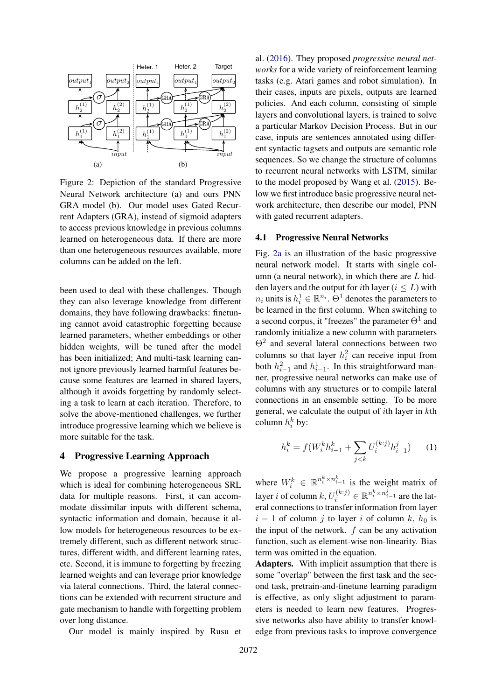

Figure 2: Depiction of the standard Progressive Neural Network architecture (a) and ours PNN GRA model (b). Our model uses Gated Recurrent Adapters (GRA), instead of sigmoid adapters to access previous knowledge in previous columns learned on heterogeneous data. If there are more than one heterogeneous resources available, more columns can be added on the left.

been used to deal with these challenges. Though they can also leverage knowledge from different domains, they have following drawbacks: finetuning cannot avoid catastrophic forgetting because learned parameters, whether embeddings or other hidden weights, will be tuned after the model has been initialized; And multi-task learning cannot ignore previously learned harmful features because some features are learned in shared layers, although it avoids forgetting by randomly selecting a task to learn at each iteration. Therefore, to solve the above-mentioned challenges, we further introduce progressive learning which we believe is more suitable for the task.

#### 4 Progressive Learning Approach

We propose a progressive learning approach which is ideal for combining heterogeneous SRL data for multiple reasons. First, it can accommodate dissimilar inputs with different schema, syntactic information and domain, because it allow models for heterogeneous resources to be extremely different, such as different network structures, different width, and different learning rates, etc. Second, it is immune to forgetting by freezing learned weights and can leverage prior knowledge via lateral connections. Third, the lateral connections can be extended with recurrent structure and gate mechanism to handle with forgetting problem over long distance.

Our model is mainly inspired by Rusu et

al. (2016). They proposed *progressive neural networks* for a wide variety of reinforcement learning tasks (e.g. Atari games and robot simulation). In their cases, inputs are pixels, outputs are learned policies. And each column, consisting of simple layers and convolutional layers, is trained to solve a particular Markov Decision Process. But in our case, inputs are sentences annotated using different syntactic tagsets and outputs are semantic role sequences. So we change the structure of columns to recurrent neural networks with LSTM, similar to the model proposed by Wang et al. (2015). Below we first introduce basic progressive neural network architecture, then describe our model, PNN with gated recurrent adapters.

#### 4.1 Progressive Neural Networks

Fig. 2a is an illustration of the basic progressive neural network model. It starts with single column (a neural network), in which there are  $L$  hidden layers and the output for *i*th layer ( $i \leq L$ ) with  $n_i$  units is  $h_i^1 \in \mathbb{R}^{n_i}$ .  $\Theta^1$  denotes the parameters to be learned in the first column. When switching to a second corpus, it "freezes" the parameter  $\Theta^1$  and randomly initialize a new column with parameters Θ<sup>2</sup> and several lateral connections between two columns so that layer  $h_i^2$  can receive input from both  $h_{i-1}^2$  and  $h_{i-1}^1$ . In this straightforward manner, progressive neural networks can make use of columns with any structures or to compile lateral connections in an ensemble setting. To be more general, we calculate the output of ith layer in kth column  $h_i^k$  by:

$$
h_i^k = f(W_i^k h_{i-1}^k + \sum_{j < k} U_i^{(k:j)} h_{i-1}^j) \tag{1}
$$

where  $W_i^k \in \mathbb{R}^{n_i^k \times n_{i-1}^k}$  is the weight matrix of layer *i* of column  $k, U_i^{(k:j)} \in \mathbb{R}^{n_i^k \times n_{i-1}^j}$  are the lateral connections to transfer information from layer  $i - 1$  of column j to layer i of column k,  $h_0$  is the input of the network.  $f$  can be any activation function, such as element-wise non-linearity. Bias term was omitted in the equation.

Adapters. With implicit assumption that there is some "overlap" between the first task and the second task, pretrain-and-finetune learning paradigm is effective, as only slight adjustment to parameters is needed to learn new features. Progressive networks also have ability to transfer knowledge from previous tasks to improve convergence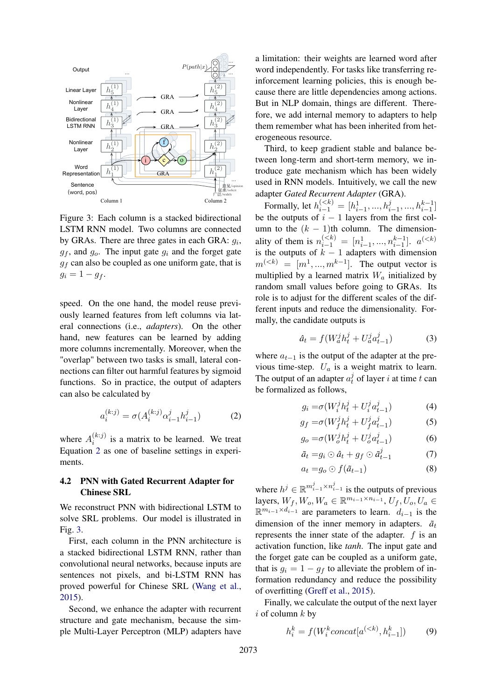

Figure 3: Each column is a stacked bidirectional LSTM RNN model. Two columns are connected by GRAs. There are three gates in each GRA:  $g_i$ ,  $g_f$ , and  $g_o$ . The input gate  $g_i$  and the forget gate  $g_f$  can also be coupled as one uniform gate, that is  $g_i = 1 - g_f.$ 

speed. On the one hand, the model reuse previously learned features from left columns via lateral connections (i.e., *adapters*). On the other hand, new features can be learned by adding more columns incrementally. Moreover, when the "overlap" between two tasks is small, lateral connections can filter out harmful features by sigmoid functions. So in practice, the output of adapters can also be calculated by

$$
a_i^{(k:j)} = \sigma(A_i^{(k:j)} \alpha_{i-1}^j h_{i-1}^j)
$$
 (2)

where  $A_i^{(k:j)}$  $i^{(k)}$  is a matrix to be learned. We treat Equation 2 as one of baseline settings in experiments.

## 4.2 PNN with Gated Recurrent Adapter for Chinese SRL

We reconstruct PNN with bidirectional LSTM to solve SRL problems. Our model is illustrated in Fig. 3.

First, each column in the PNN architecture is a stacked bidirectional LSTM RNN, rather than convolutional neural networks, because inputs are sentences not pixels, and bi-LSTM RNN has proved powerful for Chinese SRL (Wang et al., 2015).

Second, we enhance the adapter with recurrent structure and gate mechanism, because the simple Multi-Layer Perceptron (MLP) adapters have a limitation: their weights are learned word after word independently. For tasks like transferring reinforcement learning policies, this is enough because there are little dependencies among actions. But in NLP domain, things are different. Therefore, we add internal memory to adapters to help them remember what has been inherited from heterogeneous resource.

Third, to keep gradient stable and balance between long-term and short-term memory, we introduce gate mechanism which has been widely used in RNN models. Intuitively, we call the new adapter *Gated Recurrent Adapter* (GRA).

Formally, let  $h_{i-1}^{(< k)} = [h_{i-1}^1, ..., h_{i-1}^j, ..., h_{i-1}^{k-1}]$ be the outputs of  $i - 1$  layers from the first column to the  $(k - 1)$ th column. The dimensionality of them is  $n_{i-1}^{(< k)} = [n_{i-1}^1, ..., n_{i-1}^{k-1}]$ .  $a^{(< k)}$ is the outputs of  $k - 1$  adapters with dimension  $m^{(. The output vector is$ multiplied by a learned matrix  $W_a$  initialized by random small values before going to GRAs. Its role is to adjust for the different scales of the different inputs and reduce the dimensionality. Formally, the candidate outputs is

$$
\hat{a}_t = f(W_a^j h_t^j + U_a^j a_{t-1}^j)
$$
 (3)

where  $a_{t-1}$  is the output of the adapter at the previous time-step.  $U_a$  is a weight matrix to learn. The output of an adapter  $a_t^j$  $t_t$  of layer *i* at time *t* can be formalized as follows,

$$
g_i = \sigma(W_i^j h_t^j + U_i^j a_{t-1}^j)
$$
 (4)

$$
g_f = \sigma(W_f^j h_t^j + U_f^j a_{t-1}^j)
$$
 (5)

$$
g_o = \sigma(W_o^j h_t^j + U_o^j a_{t-1}^j)
$$
 (6)

$$
\tilde{a}_t = g_i \odot \hat{a}_t + g_f \odot \tilde{a}_{t-1}^j \tag{7}
$$

$$
a_t = g_o \odot f(\tilde{a}_{t-1}) \tag{8}
$$

where  $h^j \in \mathbb{R}^{m_{i-1}^j \times n_{i-1}^j}$  is the outputs of previous layers,  $W_f$ ,  $W_o$ ,  $W_a \in \mathbb{R}^{m_{i-1} \times n_{i-1}}$ ,  $U_f$ ,  $U_o$ ,  $U_a \in$  $\mathbb{R}^{m_{i-1} \times d_{i-1}}$  are parameters to learn.  $d_{i-1}$  is the dimension of the inner memory in adapters.  $\tilde{a}_t$ represents the inner state of the adapter.  $f$  is an activation function, like *tanh*. The input gate and the forget gate can be coupled as a uniform gate, that is  $g_i = 1 - g_f$  to alleviate the problem of information redundancy and reduce the possibility of overfitting (Greff et al., 2015).

Finally, we calculate the output of the next layer  $i$  of column  $k$  by

$$
h_i^k = f(W_i^k concat[a^{( (9)
$$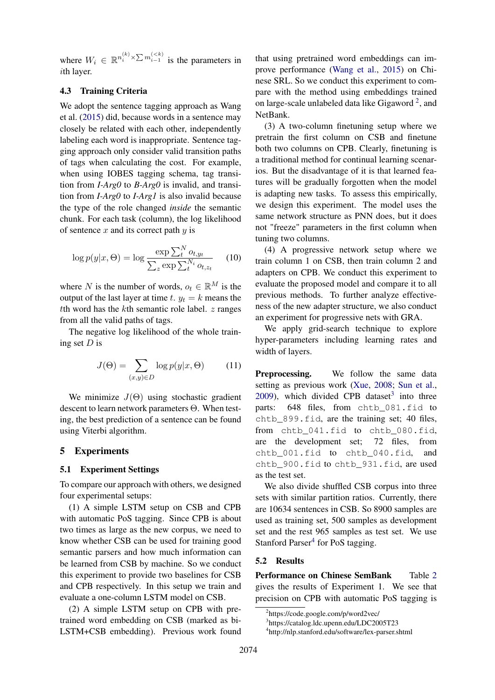where  $W_i \in \mathbb{R}^{n_i^{(k)} \times \sum m_{i-1}^{( is the parameters in$ ith layer.

# 4.3 Training Criteria

We adopt the sentence tagging approach as Wang et al. (2015) did, because words in a sentence may closely be related with each other, independently labeling each word is inappropriate. Sentence tagging approach only consider valid transition paths of tags when calculating the cost. For example, when using IOBES tagging schema, tag transition from *I-Arg0* to *B-Arg0* is invalid, and transition from *I-Arg0* to *I-Arg1* is also invalid because the type of the role changed *inside* the semantic chunk. For each task (column), the log likelihood of sentence  $x$  and its correct path  $y$  is

$$
\log p(y|x,\Theta) = \log \frac{\exp \sum_{t}^{N} o_{t,y_t}}{\sum_{z} \exp \sum_{t}^{N_i} o_{t,z_t}}
$$
 (10)

where N is the number of words,  $o_t \in \mathbb{R}^M$  is the output of the last layer at time t.  $y_t = k$  means the tth word has the  $k$ th semantic role label.  $z$  ranges from all the valid paths of tags.

The negative log likelihood of the whole training set D is

$$
J(\Theta) = \sum_{(x,y)\in D} \log p(y|x, \Theta) \tag{11}
$$

We minimize  $J(\Theta)$  using stochastic gradient descent to learn network parameters Θ. When testing, the best prediction of a sentence can be found using Viterbi algorithm.

#### 5 Experiments

#### 5.1 Experiment Settings

To compare our approach with others, we designed four experimental setups:

(1) A simple LSTM setup on CSB and CPB with automatic PoS tagging. Since CPB is about two times as large as the new corpus, we need to know whether CSB can be used for training good semantic parsers and how much information can be learned from CSB by machine. So we conduct this experiment to provide two baselines for CSB and CPB respectively. In this setup we train and evaluate a one-column LSTM model on CSB.

(2) A simple LSTM setup on CPB with pretrained word embedding on CSB (marked as bi-LSTM+CSB embedding). Previous work found that using pretrained word embeddings can improve performance (Wang et al., 2015) on Chinese SRL. So we conduct this experiment to compare with the method using embeddings trained on large-scale unlabeled data like Gigaword<sup>2</sup>, and NetBank.

(3) A two-column finetuning setup where we pretrain the first column on CSB and finetune both two columns on CPB. Clearly, finetuning is a traditional method for continual learning scenarios. But the disadvantage of it is that learned features will be gradually forgotten when the model is adapting new tasks. To assess this empirically, we design this experiment. The model uses the same network structure as PNN does, but it does not "freeze" parameters in the first column when tuning two columns.

(4) A progressive network setup where we train column 1 on CSB, then train column 2 and adapters on CPB. We conduct this experiment to evaluate the proposed model and compare it to all previous methods. To further analyze effectiveness of the new adapter structure, we also conduct an experiment for progressive nets with GRA.

We apply grid-search technique to explore hyper-parameters including learning rates and width of layers.

Preprocessing. We follow the same data setting as previous work (Xue, 2008; Sun et al., 2009), which divided CPB dataset<sup>3</sup> into three parts: 648 files, from chtb 081.fid to chtb\_899.fid, are the training set; 40 files, from chtb\_041.fid to chtb\_080.fid, are the development set; 72 files, from chtb\_001.fid to chtb\_040.fid, and chtb\_900.fid to chtb\_931.fid, are used as the test set.

We also divide shuffled CSB corpus into three sets with similar partition ratios. Currently, there are 10634 sentences in CSB. So 8900 samples are used as training set, 500 samples as development set and the rest 965 samples as test set. We use Stanford Parser<sup>4</sup> for PoS tagging.

### 5.2 Results

Performance on Chinese SemBank Table 2 gives the results of Experiment 1. We see that precision on CPB with automatic PoS tagging is

<sup>2</sup> https://code.google.com/p/word2vec/

<sup>3</sup> https://catalog.ldc.upenn.edu/LDC2005T23

<sup>4</sup> http://nlp.stanford.edu/software/lex-parser.shtml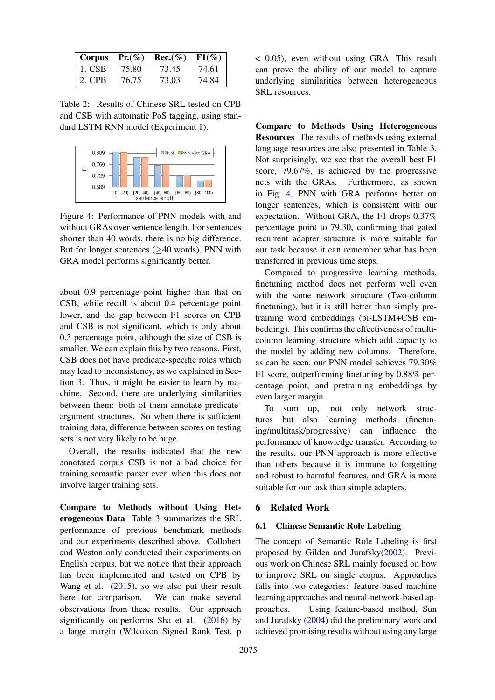| Corpus | $Pr(\%)$ | $Rec. (\% )$ | $F1(\%)$ |
|--------|----------|--------------|----------|
| 1. CSB | 75.80    | 73.45        | 74.61    |
| 2. CPB | 76.75    | 73.03        | 74.84    |

Table 2: Results of Chinese SRL tested on CPB and CSB with automatic PoS tagging, using standard LSTM RNN model (Experiment 1).



Figure 4: Performance of PNN models with and without GRAs over sentence length. For sentences shorter than 40 words, there is no big difference. But for longer sentences (≥40 words), PNN with GRA model performs significantly better.

about 0.9 percentage point higher than that on CSB, while recall is about 0.4 percentage point lower, and the gap between F1 scores on CPB and CSB is not significant, which is only about 0.3 percentage point, although the size of CSB is smaller. We can explain this by two reasons. First, CSB does not have predicate-specific roles which may lead to inconsistency, as we explained in Section 3. Thus, it might be easier to learn by machine. Second, there are underlying similarities between them: both of them annotate predicateargument structures. So when there is sufficient training data, difference between scores on testing sets is not very likely to be huge.

Overall, the results indicated that the new annotated corpus CSB is not a bad choice for training semantic parser even when this does not involve larger training sets.

Compare to Methods without Using Heterogeneous Data Table 3 summarizes the SRL performance of previous benchmark methods and our experiments described above. Collobert and Weston only conducted their experiments on English corpus, but we notice that their approach has been implemented and tested on CPB by Wang et al. (2015), so we also put their result here for comparison. We can make several observations from these results. Our approach significantly outperforms Sha et al. (2016) by a large margin (Wilcoxon Signed Rank Test, p < 0.05), even without using GRA. This result can prove the ability of our model to capture underlying similarities between heterogeneous SRL resources.

Compare to Methods Using Heterogeneous Resources The results of methods using external language resources are also presented in Table 3. Not surprisingly, we see that the overall best F1 score, 79.67%, is achieved by the progressive nets with the GRAs. Furthermore, as shown in Fig. 4, PNN with GRA performs better on longer sentences, which is consistent with our expectation. Without GRA, the F1 drops 0.37% percentage point to 79.30, confirming that gated recurrent adapter structure is more suitable for our task because it can remember what has been transferred in previous time steps.

Compared to progressive learning methods, finetuning method does not perform well even with the same network structure (Two-column finetuning), but it is still better than simply pretraining word embeddings (bi-LSTM+CSB embedding). This confirms the effectiveness of multicolumn learning structure which add capacity to the model by adding new columns. Therefore, as can be seen, our PNN model achieves 79.30% F1 score, outperforming finetuning by 0.88% percentage point, and pretraining embeddings by even larger margin.

To sum up, not only network structures but also learning methods (finetuning/multitask/progressive) can influence the performance of knowledge transfer. According to the results, our PNN approach is more effective than others because it is immune to forgetting and robust to harmful features, and GRA is more suitable for our task than simple adapters.

# 6 Related Work

### 6.1 Chinese Semantic Role Labeling

The concept of Semantic Role Labeling is first proposed by Gildea and Jurafsky(2002). Previous work on Chinese SRL mainly focused on how to improve SRL on single corpus. Approaches falls into two categories: feature-based machine learning approaches and neural-network-based approaches. Using feature-based method, Sun and Jurafsky (2004) did the preliminary work and achieved promising results without using any large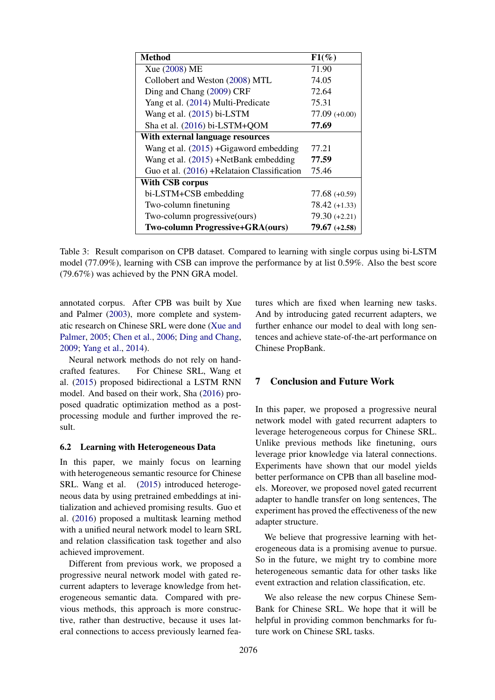| <b>Method</b>                               | $F1(\%)$        |  |  |
|---------------------------------------------|-----------------|--|--|
| Xue (2008) ME                               | 71.90           |  |  |
| Collobert and Weston (2008) MTL             | 74.05           |  |  |
| Ding and Chang (2009) CRF                   | 72.64           |  |  |
| Yang et al. (2014) Multi-Predicate          | 75.31           |  |  |
| Wang et al. (2015) bi-LSTM                  | $77.09 (+0.00)$ |  |  |
| Sha et al. (2016) bi-LSTM+QOM               | 77.69           |  |  |
| With external language resources            |                 |  |  |
| Wang et al. $(2015)$ +Gigaword embedding    | 77.21           |  |  |
| Wang et al. (2015) +NetBank embedding       | 77.59           |  |  |
| Guo et al. (2016) +Relataion Classification | 75.46           |  |  |
| <b>With CSB corpus</b>                      |                 |  |  |
| bi-LSTM+CSB embedding                       | $77.68 (+0.59)$ |  |  |
| Two-column finetuning                       | $78.42 (+1.33)$ |  |  |
| Two-column progressive(ours)                | $79.30 (+2.21)$ |  |  |
| Two-column Progressive+GRA(ours)            | $79.67 (+2.58)$ |  |  |

Table 3: Result comparison on CPB dataset. Compared to learning with single corpus using bi-LSTM model (77.09%), learning with CSB can improve the performance by at list 0.59%. Also the best score (79.67%) was achieved by the PNN GRA model.

annotated corpus. After CPB was built by Xue and Palmer (2003), more complete and systematic research on Chinese SRL were done (Xue and Palmer, 2005; Chen et al., 2006; Ding and Chang, 2009; Yang et al., 2014).

Neural network methods do not rely on handcrafted features. For Chinese SRL, Wang et al. (2015) proposed bidirectional a LSTM RNN model. And based on their work, Sha (2016) proposed quadratic optimization method as a postprocessing module and further improved the result.

#### 6.2 Learning with Heterogeneous Data

In this paper, we mainly focus on learning with heterogeneous semantic resource for Chinese SRL. Wang et al. (2015) introduced heterogeneous data by using pretrained embeddings at initialization and achieved promising results. Guo et al. (2016) proposed a multitask learning method with a unified neural network model to learn SRL and relation classification task together and also achieved improvement.

Different from previous work, we proposed a progressive neural network model with gated recurrent adapters to leverage knowledge from heterogeneous semantic data. Compared with previous methods, this approach is more constructive, rather than destructive, because it uses lateral connections to access previously learned features which are fixed when learning new tasks. And by introducing gated recurrent adapters, we further enhance our model to deal with long sentences and achieve state-of-the-art performance on Chinese PropBank.

# 7 Conclusion and Future Work

In this paper, we proposed a progressive neural network model with gated recurrent adapters to leverage heterogeneous corpus for Chinese SRL. Unlike previous methods like finetuning, ours leverage prior knowledge via lateral connections. Experiments have shown that our model yields better performance on CPB than all baseline models. Moreover, we proposed novel gated recurrent adapter to handle transfer on long sentences, The experiment has proved the effectiveness of the new adapter structure.

We believe that progressive learning with heterogeneous data is a promising avenue to pursue. So in the future, we might try to combine more heterogeneous semantic data for other tasks like event extraction and relation classification, etc.

We also release the new corpus Chinese Sem-Bank for Chinese SRL. We hope that it will be helpful in providing common benchmarks for future work on Chinese SRL tasks.